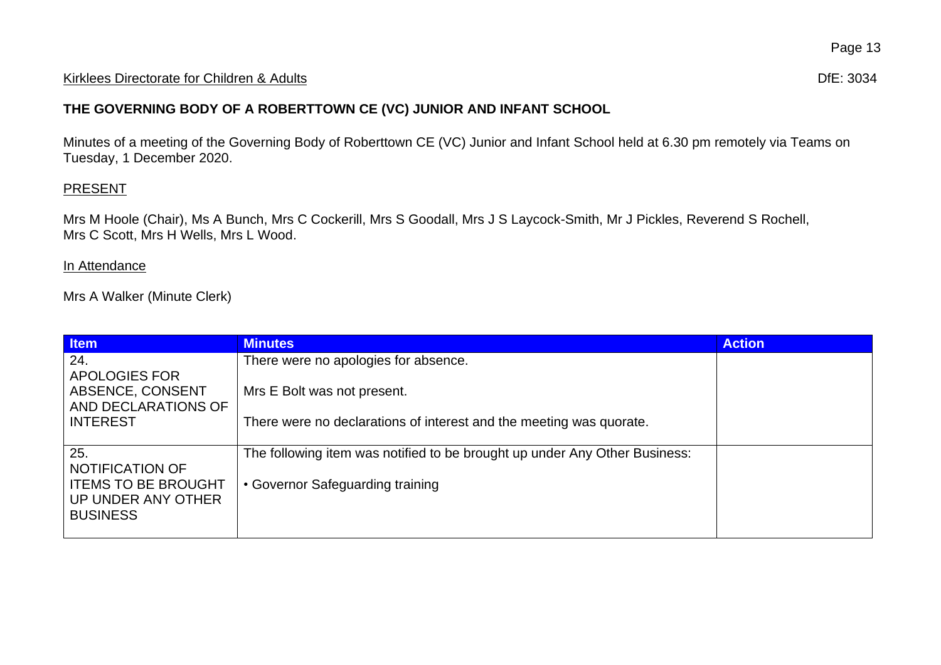## Kirklees Directorate for Children & Adults **Difester and Contact and Contact and Contact and Contact and Contact and Contact and Contact and Difester and Difester and Difester and Difester and Difester and Difester and Dif**

## **THE GOVERNING BODY OF A ROBERTTOWN CE (VC) JUNIOR AND INFANT SCHOOL**

Minutes of a meeting of the Governing Body of Roberttown CE (VC) Junior and Infant School held at 6.30 pm remotely via Teams on Tuesday, 1 December 2020.

## **PRESENT**

Mrs M Hoole (Chair), Ms A Bunch, Mrs C Cockerill, Mrs S Goodall, Mrs J S Laycock-Smith, Mr J Pickles, Reverend S Rochell, Mrs C Scott, Mrs H Wells, Mrs L Wood.

## In Attendance

Mrs A Walker (Minute Clerk)

| <b>Item</b>                             | <b>Minutes</b>                                                             | <b>Action</b> |
|-----------------------------------------|----------------------------------------------------------------------------|---------------|
| 24.                                     | There were no apologies for absence.                                       |               |
| APOLOGIES FOR                           |                                                                            |               |
| ABSENCE, CONSENT<br>AND DECLARATIONS OF | Mrs E Bolt was not present.                                                |               |
| <b>INTEREST</b>                         | There were no declarations of interest and the meeting was quorate.        |               |
|                                         |                                                                            |               |
| 25.                                     | The following item was notified to be brought up under Any Other Business: |               |
| NOTIFICATION OF                         |                                                                            |               |
| <b>ITEMS TO BE BROUGHT</b>              | • Governor Safeguarding training                                           |               |
| UP UNDER ANY OTHER                      |                                                                            |               |
| <b>BUSINESS</b>                         |                                                                            |               |
|                                         |                                                                            |               |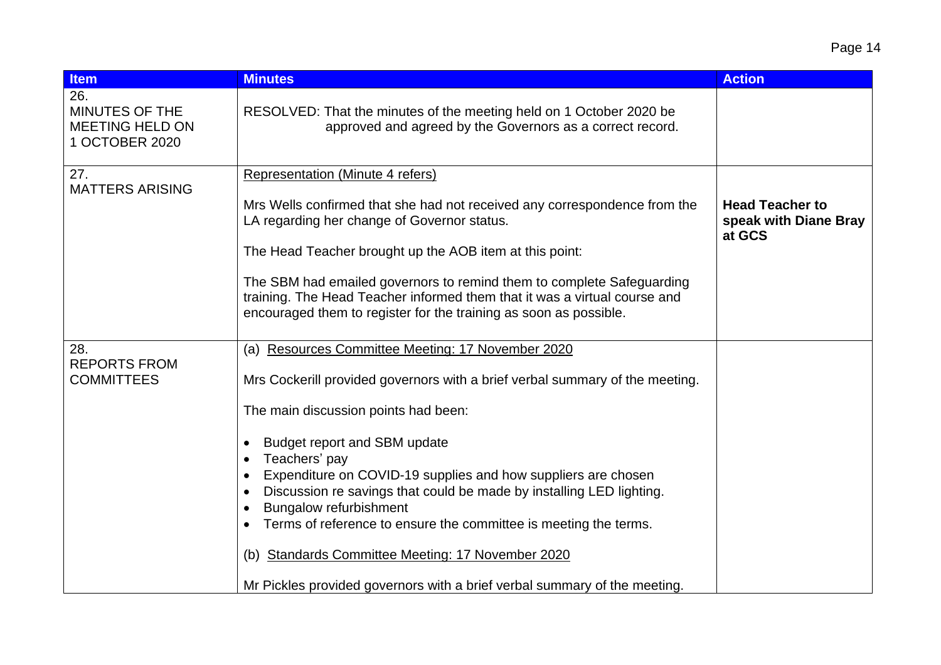| <b>Item</b>                                                              | <b>Minutes</b>                                                                                                                                                                                                                                                                                                                                   | <b>Action</b>                                             |
|--------------------------------------------------------------------------|--------------------------------------------------------------------------------------------------------------------------------------------------------------------------------------------------------------------------------------------------------------------------------------------------------------------------------------------------|-----------------------------------------------------------|
| 26.<br><b>MINUTES OF THE</b><br><b>MEETING HELD ON</b><br>1 OCTOBER 2020 | RESOLVED: That the minutes of the meeting held on 1 October 2020 be<br>approved and agreed by the Governors as a correct record.                                                                                                                                                                                                                 |                                                           |
| 27.<br><b>MATTERS ARISING</b>                                            | Representation (Minute 4 refers)<br>Mrs Wells confirmed that she had not received any correspondence from the<br>LA regarding her change of Governor status.<br>The Head Teacher brought up the AOB item at this point:<br>The SBM had emailed governors to remind them to complete Safeguarding                                                 | <b>Head Teacher to</b><br>speak with Diane Bray<br>at GCS |
|                                                                          | training. The Head Teacher informed them that it was a virtual course and<br>encouraged them to register for the training as soon as possible.                                                                                                                                                                                                   |                                                           |
| 28.<br><b>REPORTS FROM</b><br><b>COMMITTEES</b>                          | Resources Committee Meeting: 17 November 2020<br>(a)<br>Mrs Cockerill provided governors with a brief verbal summary of the meeting.<br>The main discussion points had been:                                                                                                                                                                     |                                                           |
|                                                                          | Budget report and SBM update<br>Teachers' pay<br>Expenditure on COVID-19 supplies and how suppliers are chosen<br>Discussion re savings that could be made by installing LED lighting.<br><b>Bungalow refurbishment</b><br>Terms of reference to ensure the committee is meeting the terms.<br>(b) Standards Committee Meeting: 17 November 2020 |                                                           |
|                                                                          | Mr Pickles provided governors with a brief verbal summary of the meeting.                                                                                                                                                                                                                                                                        |                                                           |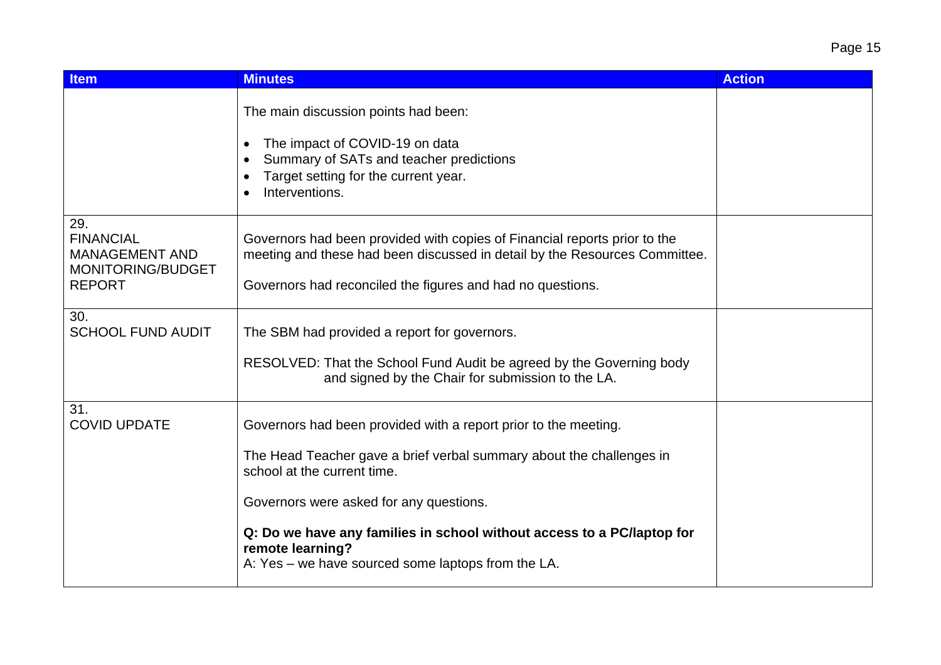| <b>Item</b>                                                                            | <b>Minutes</b>                                                                                                                                                                                                                                                                                                                                                        | <b>Action</b> |
|----------------------------------------------------------------------------------------|-----------------------------------------------------------------------------------------------------------------------------------------------------------------------------------------------------------------------------------------------------------------------------------------------------------------------------------------------------------------------|---------------|
|                                                                                        | The main discussion points had been:<br>The impact of COVID-19 on data<br>$\bullet$<br>Summary of SATs and teacher predictions<br>Target setting for the current year.<br>Interventions.                                                                                                                                                                              |               |
| 29.<br><b>FINANCIAL</b><br><b>MANAGEMENT AND</b><br>MONITORING/BUDGET<br><b>REPORT</b> | Governors had been provided with copies of Financial reports prior to the<br>meeting and these had been discussed in detail by the Resources Committee.<br>Governors had reconciled the figures and had no questions.                                                                                                                                                 |               |
| 30.<br><b>SCHOOL FUND AUDIT</b>                                                        | The SBM had provided a report for governors.<br>RESOLVED: That the School Fund Audit be agreed by the Governing body<br>and signed by the Chair for submission to the LA.                                                                                                                                                                                             |               |
| 31.<br><b>COVID UPDATE</b>                                                             | Governors had been provided with a report prior to the meeting.<br>The Head Teacher gave a brief verbal summary about the challenges in<br>school at the current time.<br>Governors were asked for any questions.<br>Q: Do we have any families in school without access to a PC/laptop for<br>remote learning?<br>A: Yes – we have sourced some laptops from the LA. |               |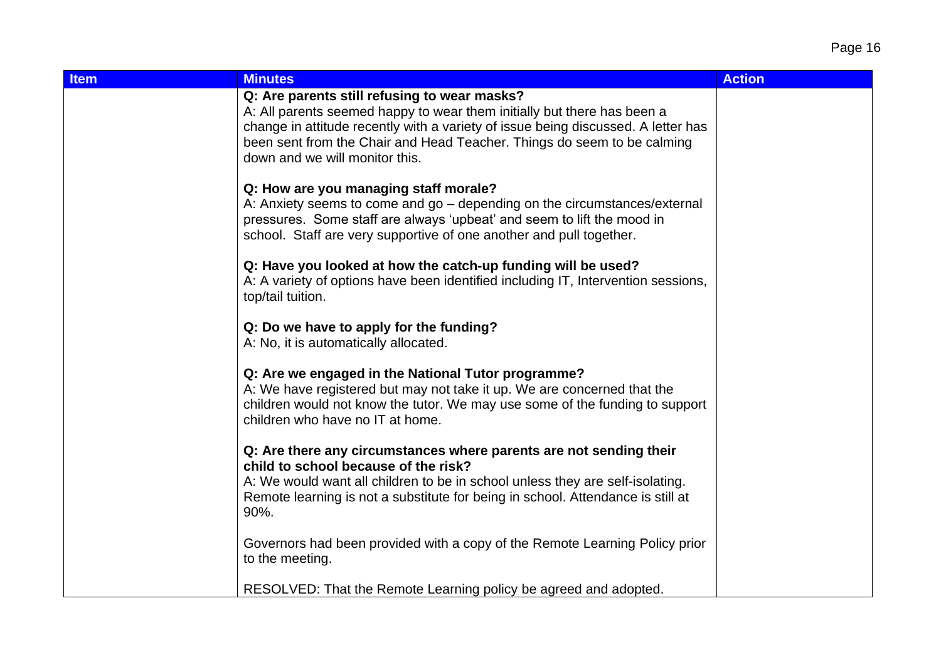| <b>Item</b> | <b>Minutes</b>                                                                                                                                                                                                                                                                                                            | <b>Action</b> |
|-------------|---------------------------------------------------------------------------------------------------------------------------------------------------------------------------------------------------------------------------------------------------------------------------------------------------------------------------|---------------|
|             | Q: Are parents still refusing to wear masks?<br>A: All parents seemed happy to wear them initially but there has been a<br>change in attitude recently with a variety of issue being discussed. A letter has<br>been sent from the Chair and Head Teacher. Things do seem to be calming<br>down and we will monitor this. |               |
|             | Q: How are you managing staff morale?<br>A: Anxiety seems to come and go – depending on the circumstances/external<br>pressures. Some staff are always 'upbeat' and seem to lift the mood in<br>school. Staff are very supportive of one another and pull together.                                                       |               |
|             | Q: Have you looked at how the catch-up funding will be used?<br>A: A variety of options have been identified including IT, Intervention sessions,<br>top/tail tuition.                                                                                                                                                    |               |
|             | Q: Do we have to apply for the funding?<br>A: No, it is automatically allocated.                                                                                                                                                                                                                                          |               |
|             | Q: Are we engaged in the National Tutor programme?<br>A: We have registered but may not take it up. We are concerned that the<br>children would not know the tutor. We may use some of the funding to support<br>children who have no IT at home.                                                                         |               |
|             | Q: Are there any circumstances where parents are not sending their<br>child to school because of the risk?<br>A: We would want all children to be in school unless they are self-isolating.<br>Remote learning is not a substitute for being in school. Attendance is still at<br>90%.                                    |               |
|             | Governors had been provided with a copy of the Remote Learning Policy prior<br>to the meeting.                                                                                                                                                                                                                            |               |
|             | RESOLVED: That the Remote Learning policy be agreed and adopted.                                                                                                                                                                                                                                                          |               |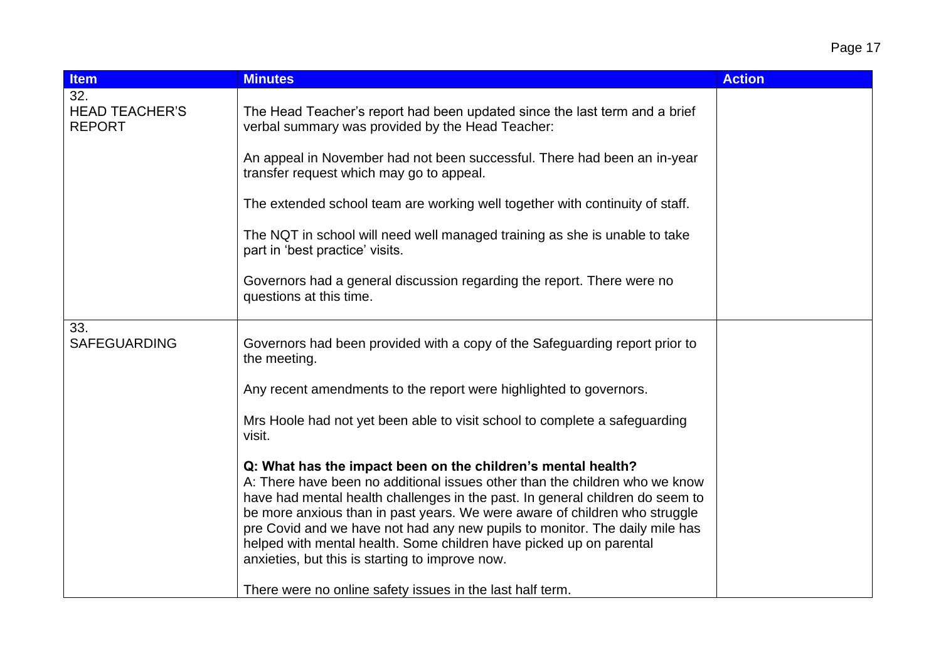| ıΩ<br>⊫<br>н |  |
|--------------|--|
|              |  |

| <b>Item</b>                                   | <b>Minutes</b>                                                                                                                                                                                                                                                                                                                                                                                                                                                                                                      | <b>Action</b> |
|-----------------------------------------------|---------------------------------------------------------------------------------------------------------------------------------------------------------------------------------------------------------------------------------------------------------------------------------------------------------------------------------------------------------------------------------------------------------------------------------------------------------------------------------------------------------------------|---------------|
| 32.<br><b>HEAD TEACHER'S</b><br><b>REPORT</b> | The Head Teacher's report had been updated since the last term and a brief<br>verbal summary was provided by the Head Teacher:                                                                                                                                                                                                                                                                                                                                                                                      |               |
|                                               | An appeal in November had not been successful. There had been an in-year<br>transfer request which may go to appeal.                                                                                                                                                                                                                                                                                                                                                                                                |               |
|                                               | The extended school team are working well together with continuity of staff.                                                                                                                                                                                                                                                                                                                                                                                                                                        |               |
|                                               | The NQT in school will need well managed training as she is unable to take<br>part in 'best practice' visits.                                                                                                                                                                                                                                                                                                                                                                                                       |               |
|                                               | Governors had a general discussion regarding the report. There were no<br>questions at this time.                                                                                                                                                                                                                                                                                                                                                                                                                   |               |
| 33.<br><b>SAFEGUARDING</b>                    | Governors had been provided with a copy of the Safeguarding report prior to<br>the meeting.                                                                                                                                                                                                                                                                                                                                                                                                                         |               |
|                                               | Any recent amendments to the report were highlighted to governors.                                                                                                                                                                                                                                                                                                                                                                                                                                                  |               |
|                                               | Mrs Hoole had not yet been able to visit school to complete a safeguarding<br>visit.                                                                                                                                                                                                                                                                                                                                                                                                                                |               |
|                                               | Q: What has the impact been on the children's mental health?<br>A: There have been no additional issues other than the children who we know<br>have had mental health challenges in the past. In general children do seem to<br>be more anxious than in past years. We were aware of children who struggle<br>pre Covid and we have not had any new pupils to monitor. The daily mile has<br>helped with mental health. Some children have picked up on parental<br>anxieties, but this is starting to improve now. |               |
|                                               | There were no online safety issues in the last half term.                                                                                                                                                                                                                                                                                                                                                                                                                                                           |               |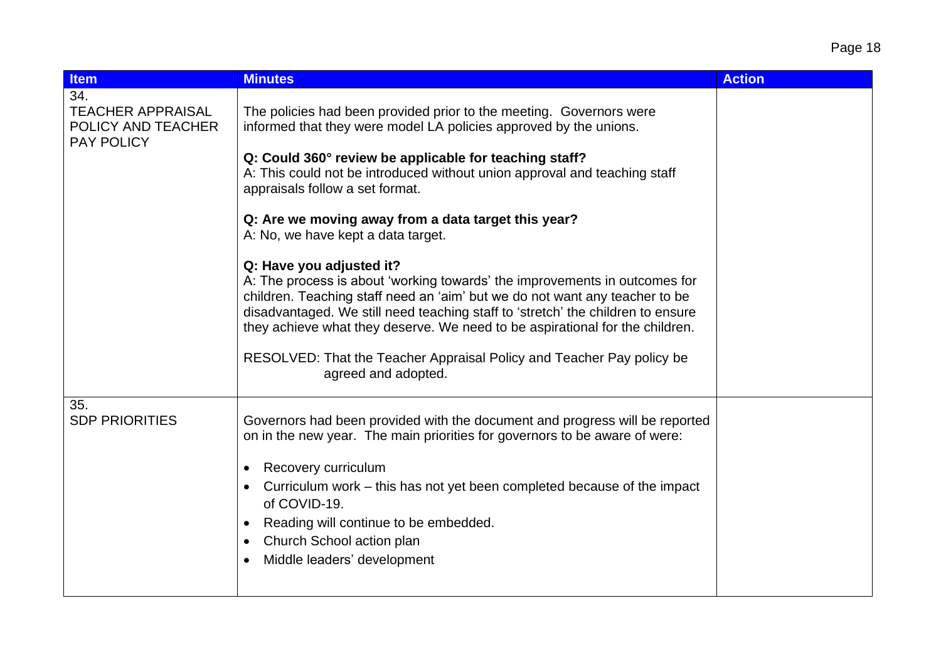| Page 18 |  |
|---------|--|
|         |  |

| <b>Item</b>                                                                | <b>Minutes</b>                                                                                                                                                                                                                                                                                                                                                                                                                                           | <b>Action</b> |
|----------------------------------------------------------------------------|----------------------------------------------------------------------------------------------------------------------------------------------------------------------------------------------------------------------------------------------------------------------------------------------------------------------------------------------------------------------------------------------------------------------------------------------------------|---------------|
| 34.<br><b>TEACHER APPRAISAL</b><br>POLICY AND TEACHER<br><b>PAY POLICY</b> | The policies had been provided prior to the meeting. Governors were<br>informed that they were model LA policies approved by the unions.                                                                                                                                                                                                                                                                                                                 |               |
|                                                                            | Q: Could 360° review be applicable for teaching staff?<br>A: This could not be introduced without union approval and teaching staff<br>appraisals follow a set format.                                                                                                                                                                                                                                                                                   |               |
|                                                                            | Q: Are we moving away from a data target this year?<br>A: No, we have kept a data target.                                                                                                                                                                                                                                                                                                                                                                |               |
|                                                                            | Q: Have you adjusted it?<br>A: The process is about 'working towards' the improvements in outcomes for<br>children. Teaching staff need an 'aim' but we do not want any teacher to be<br>disadvantaged. We still need teaching staff to 'stretch' the children to ensure<br>they achieve what they deserve. We need to be aspirational for the children.<br>RESOLVED: That the Teacher Appraisal Policy and Teacher Pay policy be<br>agreed and adopted. |               |
| 35.<br><b>SDP PRIORITIES</b>                                               | Governors had been provided with the document and progress will be reported<br>on in the new year. The main priorities for governors to be aware of were:<br>Recovery curriculum<br>$\bullet$<br>Curriculum work – this has not yet been completed because of the impact<br>of COVID-19.<br>Reading will continue to be embedded.<br>$\bullet$<br>Church School action plan<br>Middle leaders' development                                               |               |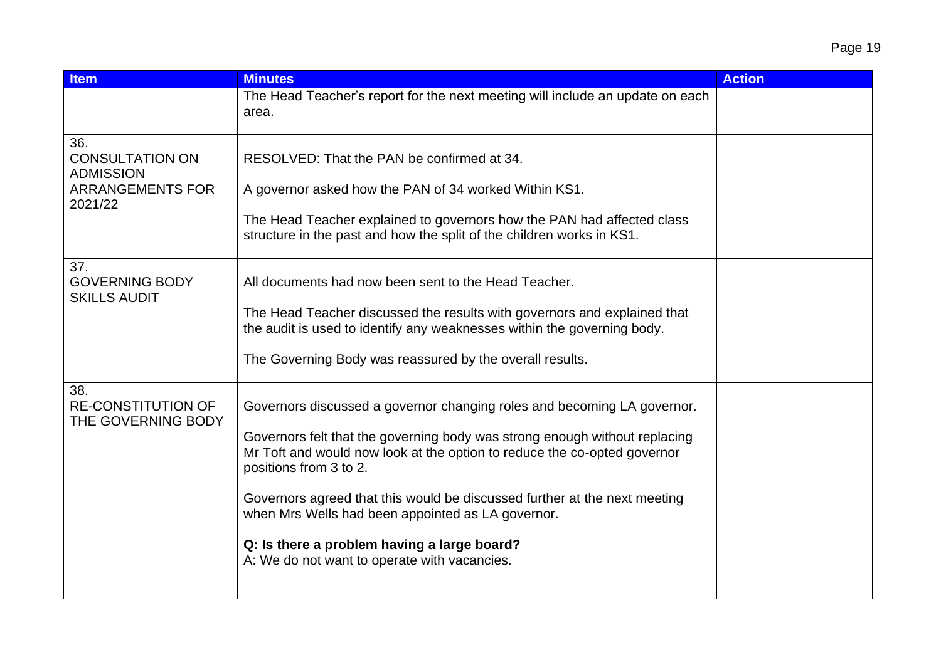| <b>Item</b>                                                                             | <b>Minutes</b>                                                                                                                                                                                                                                                                                                                                                                                                                                                                               | <b>Action</b> |
|-----------------------------------------------------------------------------------------|----------------------------------------------------------------------------------------------------------------------------------------------------------------------------------------------------------------------------------------------------------------------------------------------------------------------------------------------------------------------------------------------------------------------------------------------------------------------------------------------|---------------|
|                                                                                         | The Head Teacher's report for the next meeting will include an update on each<br>area.                                                                                                                                                                                                                                                                                                                                                                                                       |               |
| 36.<br><b>CONSULTATION ON</b><br><b>ADMISSION</b><br><b>ARRANGEMENTS FOR</b><br>2021/22 | RESOLVED: That the PAN be confirmed at 34.<br>A governor asked how the PAN of 34 worked Within KS1.<br>The Head Teacher explained to governors how the PAN had affected class<br>structure in the past and how the split of the children works in KS1.                                                                                                                                                                                                                                       |               |
| 37.<br><b>GOVERNING BODY</b><br><b>SKILLS AUDIT</b>                                     | All documents had now been sent to the Head Teacher.<br>The Head Teacher discussed the results with governors and explained that<br>the audit is used to identify any weaknesses within the governing body.<br>The Governing Body was reassured by the overall results.                                                                                                                                                                                                                      |               |
| 38.<br><b>RE-CONSTITUTION OF</b><br>THE GOVERNING BODY                                  | Governors discussed a governor changing roles and becoming LA governor.<br>Governors felt that the governing body was strong enough without replacing<br>Mr Toft and would now look at the option to reduce the co-opted governor<br>positions from 3 to 2.<br>Governors agreed that this would be discussed further at the next meeting<br>when Mrs Wells had been appointed as LA governor.<br>Q: Is there a problem having a large board?<br>A: We do not want to operate with vacancies. |               |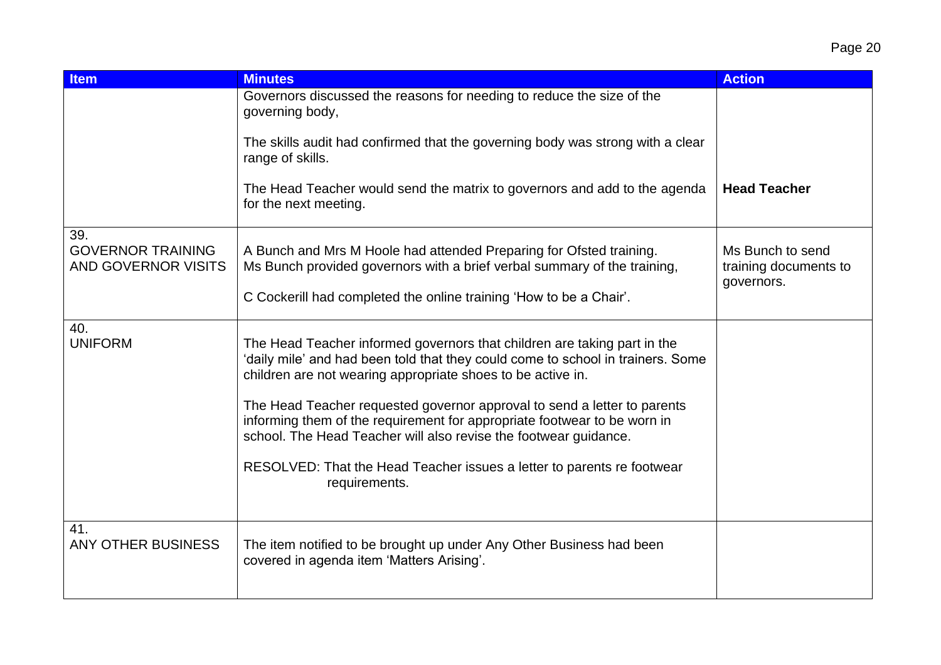| <b>Item</b>                                                   | <b>Minutes</b>                                                                                                                                                                                                                                                                                                                                                                                                                                                                                                                                    | <b>Action</b>                                           |
|---------------------------------------------------------------|---------------------------------------------------------------------------------------------------------------------------------------------------------------------------------------------------------------------------------------------------------------------------------------------------------------------------------------------------------------------------------------------------------------------------------------------------------------------------------------------------------------------------------------------------|---------------------------------------------------------|
|                                                               | Governors discussed the reasons for needing to reduce the size of the<br>governing body,                                                                                                                                                                                                                                                                                                                                                                                                                                                          |                                                         |
|                                                               | The skills audit had confirmed that the governing body was strong with a clear<br>range of skills.                                                                                                                                                                                                                                                                                                                                                                                                                                                |                                                         |
|                                                               | The Head Teacher would send the matrix to governors and add to the agenda<br>for the next meeting.                                                                                                                                                                                                                                                                                                                                                                                                                                                | <b>Head Teacher</b>                                     |
| 39.<br><b>GOVERNOR TRAINING</b><br><b>AND GOVERNOR VISITS</b> | A Bunch and Mrs M Hoole had attended Preparing for Ofsted training.<br>Ms Bunch provided governors with a brief verbal summary of the training,<br>C Cockerill had completed the online training 'How to be a Chair'.                                                                                                                                                                                                                                                                                                                             | Ms Bunch to send<br>training documents to<br>governors. |
| 40.<br><b>UNIFORM</b>                                         | The Head Teacher informed governors that children are taking part in the<br>'daily mile' and had been told that they could come to school in trainers. Some<br>children are not wearing appropriate shoes to be active in.<br>The Head Teacher requested governor approval to send a letter to parents<br>informing them of the requirement for appropriate footwear to be worn in<br>school. The Head Teacher will also revise the footwear guidance.<br>RESOLVED: That the Head Teacher issues a letter to parents re footwear<br>requirements. |                                                         |
| 41.<br><b>ANY OTHER BUSINESS</b>                              | The item notified to be brought up under Any Other Business had been<br>covered in agenda item 'Matters Arising'.                                                                                                                                                                                                                                                                                                                                                                                                                                 |                                                         |